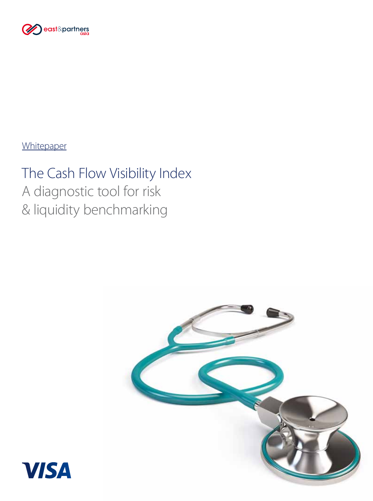

**Whitepaper** 

# The Cash Flow Visibility Index A diagnostic tool for risk & liquidity benchmarking



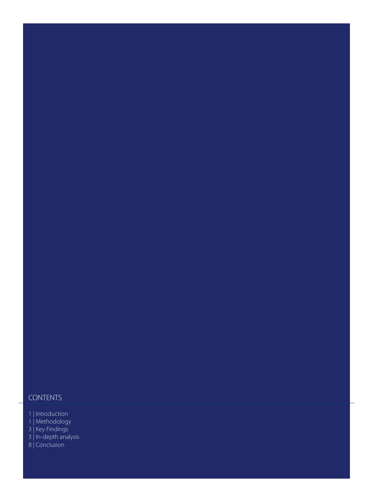# **CONTENTS**

 $\overline{a}$ 

1 | Introduction

1 | Methodology

3 | Key Findings

3 | In-depth analysis

8 | Conclusion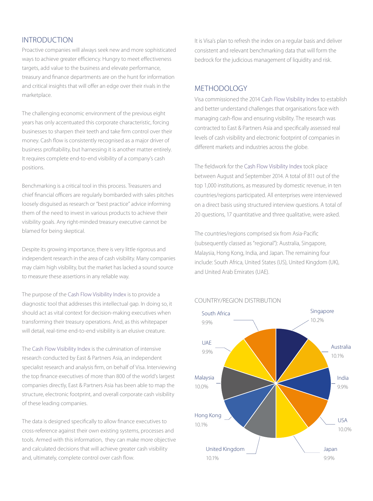# **INTRODUCTION**

Proactive companies will always seek new and more sophisticated ways to achieve greater efficiency. Hungry to meet effectiveness targets, add value to the business and elevate performance, treasury and finance departments are on the hunt for information and critical insights that will offer an edge over their rivals in the marketplace.

The challenging economic environment of the previous eight years has only accentuated this corporate characteristic, forcing businesses to sharpen their teeth and take firm control over their money. Cash flow is consistently recognised as a major driver of business profitability, but harnessing it is another matter entirely. It requires complete end-to-end visibility of a company's cash positions.

Benchmarking is a critical tool in this process. Treasurers and chief financial officers are regularly bombarded with sales pitches loosely disguised as research or "best practice" advice informing them of the need to invest in various products to achieve their visibility goals. Any right-minded treasury executive cannot be blamed for being skeptical.

Despite its growing importance, there is very little rigorous and independent research in the area of cash visibility. Many companies may claim high visibility, but the market has lacked a sound source to measure these assertions in any reliable way.

The purpose of the Cash Flow Visibility Index is to provide a diagnostic tool that addresses this intellectual gap. In doing so, it should act as vital context for decision-making executives when transforming their treasury operations. And, as this whitepaper will detail, real-time end-to-end visibility is an elusive creature.

The Cash Flow Visibility Index is the culmination of intensive research conducted by East & Partners Asia, an independent specialist research and analysis firm, on behalf of Visa. Interviewing the top finance executives of more than 800 of the world's largest companies directly, East & Partners Asia has been able to map the structure, electronic footprint, and overall corporate cash visibility of these leading companies.

The data is designed specifically to allow finance executives to cross-reference against their own existing systems, processes and tools. Armed with this information, they can make more objective and calculated decisions that will achieve greater cash visibility and, ultimately, complete control over cash flow.

It is Visa's plan to refresh the index on a regular basis and deliver consistent and relevant benchmarking data that will form the bedrock for the judicious management of liquidity and risk.

#### METHODOLOGY

Visa commissioned the 2014 Cash Flow Visibility Index to establish and better understand challenges that organisations face with managing cash-flow and ensuring visibility. The research was contracted to East & Partners Asia and specifically assessed real levels of cash visibility and electronic footprint of companies in different markets and industries across the globe.

The fieldwork for the Cash Flow Visibility Index took place between August and september 2014. A total of 811 out of the top 1,000 institutions, as measured by domestic revenue, in ten countries/regions participated. All enterprises were interviewed on a direct basis using structured interview questions. A total of 20 questions, 17 quantitative and three qualitative, were asked.

The countries/regions comprised six from Asia-Pacific (subsequently classed as "regional"): Australia, singapore, Malaysia, Hong Kong, India, and Japan. The remaining four include: South Africa, United States (US), United Kingdom (UK), and United Arab Emirates (UAE).



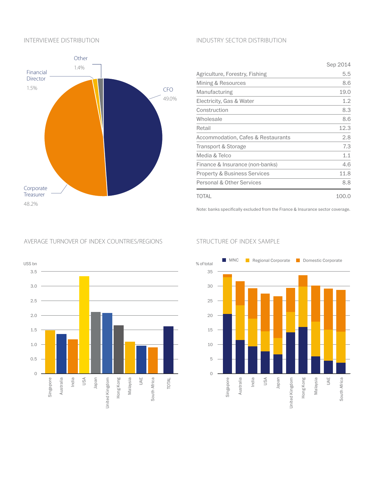

#### INTERVIEWEE DISTRIBUTION **EXECUTE IN A SECT OF A SECTOR DISTRIBUTION**

|                                         | Sep 2014 |
|-----------------------------------------|----------|
| Agriculture, Forestry, Fishing          | 5.5      |
| Mining & Resources                      | 8.6      |
| Manufacturing                           | 19.0     |
| Electricity, Gas & Water                | 1.2      |
| Construction                            | 8.3      |
| Wholesale                               | 8.6      |
| Retail                                  | 12.3     |
| Accommodation, Cafes & Restaurants      | 2.8      |
| Transport & Storage                     | 7.3      |
| Media & Telco                           | 1.1      |
| Finance & Insurance (non-banks)         | 4.6      |
| <b>Property &amp; Business Services</b> | 11.8     |
| Personal & Other Services               | 8.8      |
| TOTAL                                   | 100.0    |

Note: banks specifically excluded from the France & Insurance sector coverage.

### AVERAGE TURNOVER OF INDEX COUNTRIES/REGIONS STRUCTURE OF INDEX SAMPLE



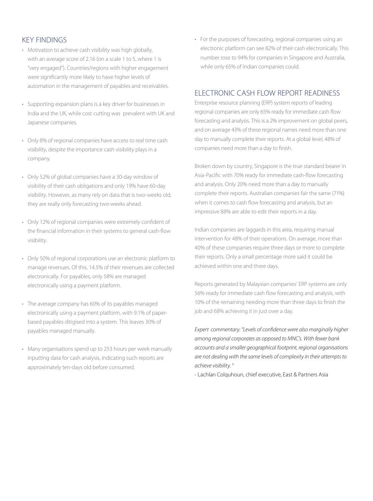# KEY FINDINGS

- Motivation to achieve cash visibility was high globally, with an average score of 2.16 (on a scale 1 to 5, where 1 is "very engaged"). Countries/regions with higher engagement were significantly more likely to have higher levels of automation in the management of payables and receivables.
- supporting expansion plans is a key driver for businesses in India and the UK, while cost cutting was prevalent with UK and Japanese companies.
- Only 8% of regional companies have access to real time cash visibility, despite the importance cash visibility plays in a company.
- Only 52% of global companies have a 30-day window of visibility of their cash obligations and only 19% have 60-day visibility. However, as many rely on data that is two-weeks old, they are really only forecasting two-weeks ahead.
- Only 12% of regional companies were extremely confident of the financial information in their systems to general cash-flow visibility.
- only 50% of regional corporations use an electronic platform to manage revenues. of this, 14.5% of their revenues are collected electronically. For payables, only 58% are managed electronically using a payment platform.
- The average company has 60% of its payables managed electronically using a payment platform, with 9.1% of paperbased payables ditigised into a system. This leaves 30% of payables managed manually.
- Many organisations spend up to 253 hours per week manually inputting data for cash analysis, indicating such reports are approximately ten-days old before consumed.

• For the purposes of forecasting, regional companies using an electronic platform can see 82% of their cash electronically. This number rose to 94% for companies in Singapore and Australia, while only 65% of Indian companies could.

### ELECTRONIC CASH ELOW REPORT READINESS

Enterprise resource planning (ERP) system reports of leading regional companies are only 65% ready for immediate cash flow forecasting and analysis. This is a 2% improvement on global peers, and on average 43% of these regional names need more than one day to manually complete their reports. At a global level, 48% of companies need more than a day to finish.

Broken down by country, Singapore is the true standard bearer in Asia-Pacific with 70% ready for immediate cash-flow forecasting and analysis. Only 20% need more than a day to manually complete their reports. Australian companies fair the same (71%) when it comes to cash flow forecasting and analysis, but an impressive 88% are able to edit their reports in a day.

Indian companies are laggards in this area, requiring manual intervention for 48% of their operations. On average, more than 40% of these companies require three days or more to complete their reports. Only a small percentage more said it could be achieved within one and three days.

Reports generated by Malaysian companies' ERP systems are only 56% ready for immediate cash flow forecasting and analysis, with 10% of the remaining needing more than three days to finish the job and 68% achieving it in just over a day.

*Expert commentary: "Levels of confidence were also marginally higher among regional corporates as opposed to MNC's. With fewer bank accounts and a smaller geographical footprint, regional organisations are not dealing with the same levels of complexity in their attempts to achieve visibility. "* 

- Lachlan Colquhoun, chief executive, East & Partners Asia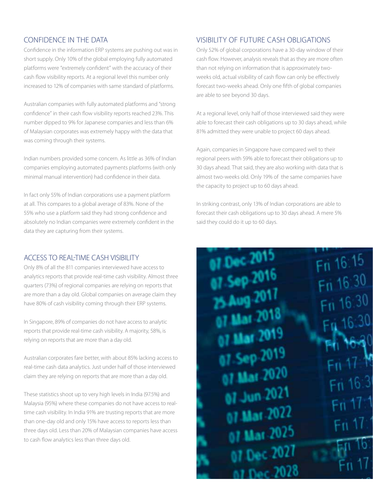# Confidence in The Data

Confidence in the information ERP systems are pushing out was in short supply. Only 10% of the global employing fully automated platforms were "extremely confident" with the accuracy of their cash flow visibility reports. At a regional level this number only increased to 12% of companies with same standard of platforms.

Australian companies with fully automated platforms and "strong confidence" in their cash flow visibility reports reached 23%. This number dipped to 9% for Japanese companies and less than 6% of Malaysian corporates was extremely happy with the data that was coming through their systems.

Indian numbers provided some concern. As little as 36% of Indian companies employing automated payments platforms (with only minimal manual intervention) had confidence in their data.

In fact only 55% of Indian corporations use a payment platform at all. This compares to a global average of 83%. None of the 55% who use a platform said they had strong confidence and absolutely no Indian companies were extremely confident in the data they are capturing from their systems.

#### Access to real-time cash visibility

Only 8% of all the 811 companies interviewed have access to analytics reports that provide real-time cash visibility. Almost three quarters (73%) of regional companies are relying on reports that are more than a day old. Global companies on average claim they have 80% of cash visibility coming through their ERP systems.

In Singapore, 89% of companies do not have access to analytic reports that provide real-time cash visibility. A majority, 58%, is relying on reports that are more than a day old.

Australian corporates fare better, with about 85% lacking access to real-time cash data analytics. Just under half of those interviewed claim they are relying on reports that are more than a day old.

These statistics shoot up to very high levels in India (97.5%) and Malaysia (95%) where these companies do not have access to realtime cash visibility. In India 91% are trusting reports that are more than one-day old and only 15% have access to reports less than three days old. Less than 20% of Malaysian companies have access to cash flow analytics less than three days old.

# Visibility of future cash obligations

Only 52% of global corporations have a 30-day window of their cash flow. However, analysis reveals that as they are more often than not relying on information that is approximately twoweeks old, actual visibility of cash flow can only be effectively forecast two-weeks ahead. Only one fifth of global companies are able to see beyond 30 days.

At a regional level, only half of those interviewed said they were able to forecast their cash obligations up to 30 days ahead, while 81% admitted they were unable to project 60 days ahead.

Again, companies in Singapore have compared well to their regional peers with 59% able to forecast their obligations up to 30 days ahead. That said, they are also working with data that is almost two-weeks old. Only 19% of the same companies have the capacity to project up to 60 days ahead.

In striking contrast, only 13% of Indian corporations are able to forecast their cash obligations up to 30 days ahead. A mere 5% said they could do it up to 60 days.

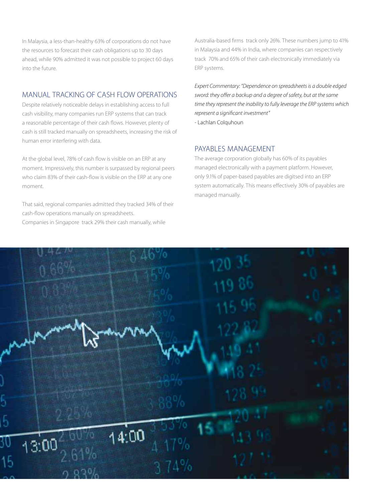In Malaysia, a less-than-healthy 63% of corporations do not have the resources to forecast their cash obligations up to 30 days ahead, while 90% admitted it was not possible to project 60 days into the future.

### Manual tracking of cash flow operations

Despite relatively noticeable delays in establishing access to full cash visibility, many companies run ERP systems that can track a reasonable percentage of their cash flows. However, plenty of cash is still tracked manually on spreadsheets, increasing the risk of human error interfering with data.

At the global level, 78% of cash flow is visible on an ERP at any moment. Impressively, this number is surpassed by regional peers who claim 83% of their cash-flow is visible on the ERP at any one moment.

That said, regional companies admitted they tracked 34% of their cash-flow operations manually on spreadsheets. Companies in Singapore track 29% their cash manually, while

Australia-based firms track only 26%. These numbers jump to 41% in Malaysia and 44% in India, where companies can respectively track 70% and 65% of their cash electronically immediately via ERP systems.

*Expert Commentary: "Dependence on spreadsheets is a double edged sword: they offer a backup and a degree of safety, but at the same time they represent the inability to fully leverage the ERP systems which represent a significant investment"* 

- Lachlan Colquhoun

#### PAYABI ES MANAGEMENT

The average corporation globally has 60% of its payables managed electronically with a payment platform. However, only 9.1% of paper-based payables are digitsed into an ERP system automatically. This means effectively 30% of payables are managed manually.

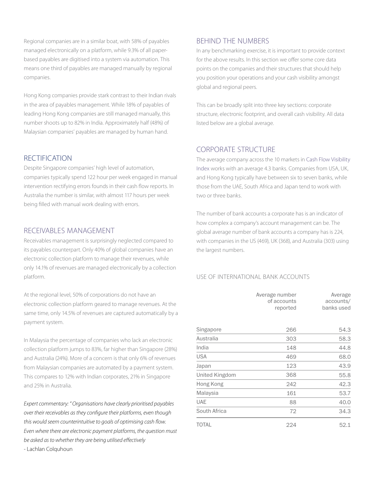Regional companies are in a similar boat, with 58% of payables managed electronically on a platform, while 9.3% of all paperbased payables are digitised into a system via automation. This means one third of payables are managed manually by regional companies.

Hong Kong companies provide stark contrast to their Indian rivals in the area of payables management. While 18% of payables of leading Hong Kong companies are still managed manually, this number shoots up to 82% in India. Approximately half (48%) of Malaysian companies' payables are managed by human hand.

### **RECTIFICATION**

Despite Singapore companies' high level of automation, companies typically spend 122 hour per week engaged in manual intervention rectifying errors founds in their cash flow reports. In Australia the number is similar, with almost 117 hours per week being filled with manual work dealing with errors.

#### Receivables management

Receivables management is surprisingly neglected compared to its payables counterpart. Only 40% of global companies have an electronic collection platform to manage their revenues, while only 14.1% of revenues are managed electronically by a collection platform.

At the regional level, 50% of corporations do not have an electronic collection platform geared to manage revenues. At the same time, only 14.5% of revenues are captured automatically by a payment system.

In Malaysia the percentage of companies who lack an electronic collection platform jumps to 83%, far higher than Singapore (28%) and Australia (24%). More of a concern is that only 6% of revenues from Malaysian companies are automated by a payment system. This compares to 12% with Indian corporates, 21% in Singapore and 25% in Australia.

*Expert commentary: " Organisations have clearly prioritised payables over their receivables as they configure their platforms, even though this would seem counterintuitive to goals of optimising cash flow. Even where there are electronic payment platforms, the question must be asked as to whether they are being utilised effectively* - Lachlan Colquhoun

#### Behind the numbers

In any benchmarking exercise, it is important to provide context for the above results. In this section we offer some core data points on the companies and their structures that should help you position your operations and your cash visibility amongst global and regional peers.

This can be broadly split into three key sections: corporate structure, electronic footprint, and overall cash visibility. All data listed below are a global average.

# Corporate structure

The average company across the 10 markets in Cash Flow Visibility Index works with an average 4.3 banks. Companies from USA, UK, and Hong Kong typically have between six to seven banks, while those from the UAE, South Africa and Japan tend to work with two or three banks.

The number of bank accounts a corporate has is an indicator of how complex a company's account management can be. The global average number of bank accounts a company has is 224, with companies in the US (469), UK (368), and Australia (303) using the largest numbers.

#### Use of international bank accounts

|                | Average number<br>of accounts<br>reported | Average<br>accounts/<br>banks used |
|----------------|-------------------------------------------|------------------------------------|
| Singapore      | 266                                       | 54.3                               |
| Australia      | 303                                       | 58.3                               |
| India          | 148                                       | 44.8                               |
| <b>USA</b>     | 469                                       | 68.0                               |
| Japan          | 123                                       | 43.9                               |
| United Kingdom | 368                                       | 55.8                               |
| Hong Kong      | 242                                       | 42.3                               |
| Malaysia       | 161                                       | 53.7                               |
| <b>UAE</b>     | 88                                        | 40.0                               |
| South Africa   | 72                                        | 34.3                               |
| <b>TOTAL</b>   | 224                                       | 52.1                               |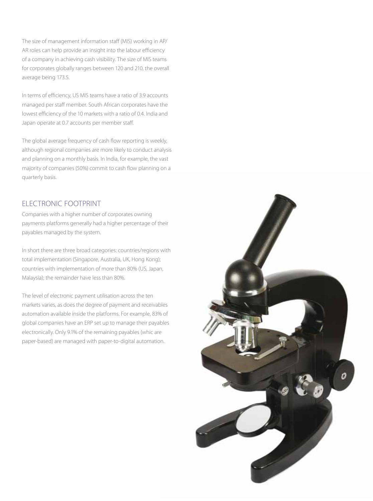The size of management information staff (MIs) working in AP/ AR roles can help provide an insight into the labour efficiency of a company in achieving cash visibility. The size of MIs teams for corporates globally ranges between 120 and 210, the overall average being 173.5.

In terms of efficiency, US MIS teams have a ratio of 3.9 accounts managed per staff member. south African corporates have the lowest efficiency of the 10 markets with a ratio of 0.4. India and Japan operate at 0.7 accounts per member staff.

The global average frequency of cash flow reporting is weekly, although regional companies are more likely to conduct analysis and planning on a monthly basis. In India, for example, the vast majority of companies (50%) commit to cash flow planning on a quarterly basis.

# **FI ECTRONIC FOOTPRINT**

Companies with a higher number of corporates owning payments platforms generally had a higher percentage of their payables managed by the system.

In short there are three broad categories: countries/regions with total implementation (Singapore, Australia, UK, Hong Kong); countries with implementation of more than 80% (US, Japan, Malaysia); the remainder have less than 80%.

The level of electronic payment utilisation across the ten markets varies, as does the degree of payment and receivables automation available inside the platforms. For example, 83% of global companies have an ERP set up to manage their payables electronically. Only 9.1% of the remaining payables (whic are paper-based) are managed with paper-to-digital automation.

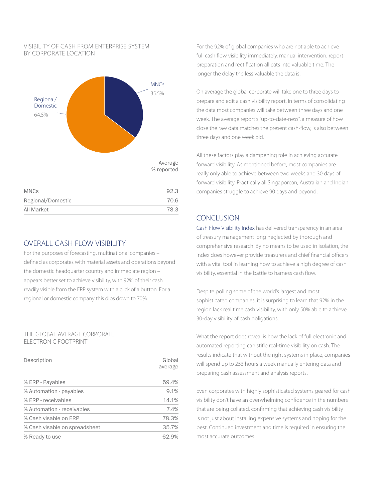#### Visibility of cash from Enterprise system by coRPorate location



### Overall cash Flow visibility

For the purposes of forecasting, multinational companies – defined as corporates with material assets and operations beyond the domestic headquarter country and immediate region – appears better set to achieve visibility, with 92% of their cash readily visible from the ERP system with a click of a button. For a regional or domestic company this dips down to 70%.

#### The Global Average Corporate - Electronic Footprint

| Description                   | Global<br>average |
|-------------------------------|-------------------|
| % ERP - Payables              | 59.4%             |
| % Automation - payables       | 9.1%              |
| % ERP - receivables           | 14.1%             |
| % Automation - receivables    | 7.4%              |
| % Cash visable on ERP         | 78.3%             |
| % Cash visable on spreadsheet | 35.7%             |
| % Ready to use                | 62.9%             |

For the 92% of global companies who are not able to achieve full cash flow visibility immediately, manual intervention, report preparation and rectification all eats into valuable time. The longer the delay the less valuable the data is.

On average the global corporate will take one to three days to prepare and edit a cash visibility report. In terms of consolidating the data most companies will take between three days and one week. The average report's "up-to-date-ness", a measure of how close the raw data matches the present cash-flow, is also between three days and one week old.

All these factors play a dampening role in achieving accurate forward visibility. As mentioned before, most companies are really only able to achieve between two weeks and 30 days of forward visibility. Practically all Singaporean, Australian and Indian companies struggle to achieve 90 days and beyond.

### Conclusion

Cash Flow Visibility Index has delivered transparency in an area of treasury management long neglected by thorough and comprehensive research. By no means to be used in isolation, the index does however provide treasurers and chief financial officers with a vital tool in learning how to achieve a high degree of cash visibility, essential in the battle to harness cash flow.

Despite polling some of the world's largest and most sophisticated companies, it is surprising to learn that 92% in the region lack real time cash visibility, with only 50% able to achieve 30-day visibility of cash obligations.

What the report does reveal is how the lack of full electronic and automated reporting can stifle real-time visibility on cash. The results indicate that without the right systems in place, companies will spend up to 253 hours a week manually entering data and preparing cash assessment and analysis reports.

Even corporates with highly sophisticated systems geared for cash visibility don't have an overwhelming confidence in the numbers that are being collated, confirming that achieving cash visibility is not just about installing expensive systems and hoping for the best. Continued investment and time is required in ensuring the most accurate outcomes.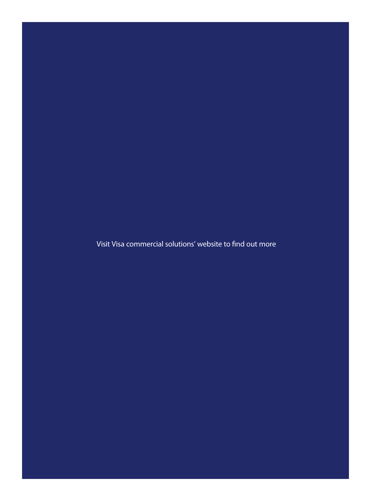Visit Visa commercial solutions' website to find out more